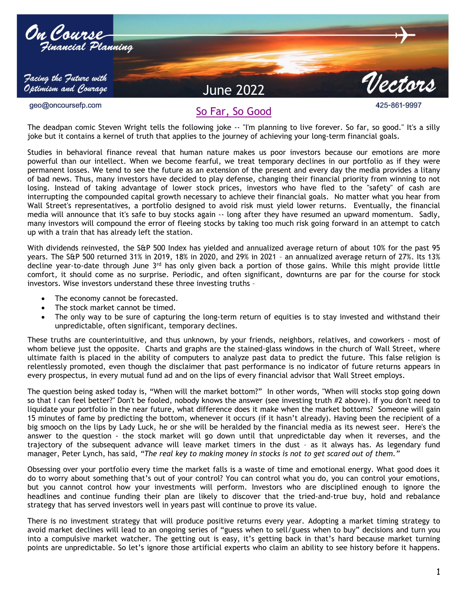

So Far, So Good

The deadpan comic Steven Wright tells the following joke -- "I'm planning to live forever. So far, so good." It's a silly joke but it contains a kernel of truth that applies to the journey of achieving your long-term financial goals.

Studies in behavioral finance reveal that human nature makes us poor investors because our emotions are more powerful than our intellect. When we become fearful, we treat temporary declines in our portfolio as if they were permanent losses. We tend to see the future as an extension of the present and every day the media provides a litany of bad news. Thus, many investors have decided to play defense, changing their financial priority from winning to not losing. Instead of taking advantage of lower stock prices, investors who have fled to the "safety" of cash are interrupting the compounded capital growth necessary to achieve their financial goals. No matter what you hear from Wall Street's representatives, a portfolio designed to avoid risk must yield lower returns. Eventually, the financial media will announce that it's safe to buy stocks again -- long after they have resumed an upward momentum. Sadly, many investors will compound the error of fleeing stocks by taking too much risk going forward in an attempt to catch up with a train that has already left the station.

With dividends reinvested, the S&P 500 Index has yielded and annualized average return of about 10% for the past 95 years. The S&P 500 returned 31% in 2019, 18% in 2020, and 29% in 2021 – an annualized average return of 27%. Its 13% decline year-to-date through June  $3<sup>rd</sup>$  has only given back a portion of those gains. While this might provide little comfort, it should come as no surprise. Periodic, and often significant, downturns are par for the course for stock investors. Wise investors understand these three investing truths –

- The economy cannot be forecasted.
- The stock market cannot be timed.
- The only way to be sure of capturing the long-term return of equities is to stay invested and withstand their unpredictable, often significant, temporary declines.

These truths are counterintuitive, and thus unknown, by your friends, neighbors, relatives, and coworkers - most of whom believe just the opposite. Charts and graphs are the stained-glass windows in the church of Wall Street, where ultimate faith is placed in the ability of computers to analyze past data to predict the future. This false religion is relentlessly promoted, even though the disclaimer that past performance is no indicator of future returns appears in every prospectus, in every mutual fund ad and on the lips of every financial advisor that Wall Street employs.

The question being asked today is, "When will the market bottom?" In other words, "When will stocks stop going down so that I can feel better?" Don't be fooled, nobody knows the answer (see investing truth #2 above). If you don't need to liquidate your portfolio in the near future, what difference does it make when the market bottoms? Someone will gain 15 minutes of fame by predicting the bottom, whenever it occurs (if it hasn't already). Having been the recipient of a big smooch on the lips by Lady Luck, he or she will be heralded by the financial media as its newest seer. Here's the answer to the question - the stock market will go down until that unpredictable day when it reverses, and the trajectory of the subsequent advance will leave market timers in the dust – as it always has. As legendary fund manager, Peter Lynch, has said, *"The real key to making money in stocks is not to get scared out of them."*

Obsessing over your portfolio every time the market falls is a waste of time and emotional energy. What good does it do to worry about something that's out of your control? You can control what you do, you can control your emotions, but you cannot control how your investments will perform. Investors who are disciplined enough to ignore the headlines and continue funding their plan are likely to discover that the tried-and-true buy, hold and rebalance strategy that has served investors well in years past will continue to prove its value.

There is no investment strategy that will produce positive returns every year. Adopting a market timing strategy to avoid market declines will lead to an ongoing series of "guess when to sell/guess when to buy" decisions and turn you into a compulsive market watcher. The getting out is easy, it's getting back in that's hard because market turning points are unpredictable. So let's ignore those artificial experts who claim an ability to see history before it happens.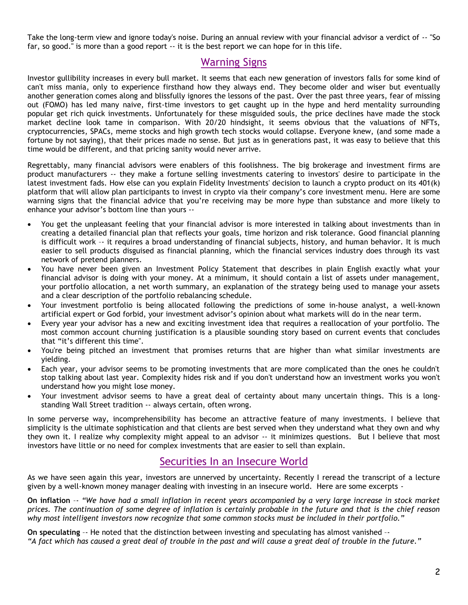Take the long-term view and ignore today's noise. During an annual review with your financial advisor a verdict of -- "So far, so good." is more than a good report -- it is the best report we can hope for in this life.

## Warning Signs

Investor gullibility increases in every bull market. It seems that each new generation of investors falls for some kind of can't miss mania, only to experience firsthand how they always end. They become older and wiser but eventually another generation comes along and blissfully ignores the lessons of the past. Over the past three years, fear of missing out (FOMO) has led many naive, first-time investors to get caught up in the hype and herd mentality surrounding popular get rich quick investments. Unfortunately for these misguided souls, the price declines have made the stock market decline look tame in comparison. With 20/20 hindsight, it seems obvious that the valuations of NFTs, cryptocurrencies, SPACs, meme stocks and high growth tech stocks would collapse. Everyone knew, (and some made a fortune by not saying), that their prices made no sense. But just as in generations past, it was easy to believe that this time would be different, and that pricing sanity would never arrive.

Regrettably, many financial advisors were enablers of this foolishness. The big brokerage and investment firms are product manufacturers -- they make a fortune selling investments catering to investors' desire to participate in the latest investment fads. How else can you explain Fidelity Investments' decision to launch a crypto product on its 401(k) platform that will allow plan participants to invest in crypto via their company's core investment menu. Here are some warning signs that the financial advice that you're receiving may be more hype than substance and more likely to enhance your advisor's bottom line than yours --

- You get the unpleasant feeling that your financial advisor is more interested in talking about investments than in creating a detailed financial plan that reflects your goals, time horizon and risk tolerance. Good financial planning is difficult work –- it requires a broad understanding of financial subjects, history, and human behavior. It is much easier to sell products disguised as financial planning, which the financial services industry does through its vast network of pretend planners.
- You have never been given an Investment Policy Statement that describes in plain English exactly what your financial advisor is doing with your money. At a minimum, it should contain a list of assets under management, your portfolio allocation, a net worth summary, an explanation of the strategy being used to manage your assets and a clear description of the portfolio rebalancing schedule.
- Your investment portfolio is being allocated following the predictions of some in-house analyst, a well-known artificial expert or God forbid, your investment advisor's opinion about what markets will do in the near term.
- Every year your advisor has a new and exciting investment idea that requires a reallocation of your portfolio. The most common account churning justification is a plausible sounding story based on current events that concludes that "it's different this time".
- You're being pitched an investment that promises returns that are higher than what similar investments are yielding.
- Each year, your advisor seems to be promoting investments that are more complicated than the ones he couldn't stop talking about last year. Complexity hides risk and if you don't understand how an investment works you won't understand how you might lose money.
- Your investment advisor seems to have a great deal of certainty about many uncertain things. This is a longstanding Wall Street tradition -- always certain, often wrong.

In some perverse way, incomprehensibility has become an attractive feature of many investments. I believe that simplicity is the ultimate sophistication and that clients are best served when they understand what they own and why they own it. I realize why complexity might appeal to an advisor -- it minimizes questions. But I believe that most investors have little or no need for complex investments that are easier to sell than explain.

## Securities In an Insecure World

As we have seen again this year, investors are unnerved by uncertainty. Recently I reread the transcript of a lecture given by a well-known money manager dealing with investing in an insecure world. Here are some excerpts -

**On inflation** –- *"We have had a small inflation in recent years accompanied by a very large increase in stock market prices. The continuation of some degree of inflation is certainly probable in the future and that is the chief reason why most intelligent investors now recognize that some common stocks must be included in their portfolio."*

**On speculating** –- He noted that the distinction between investing and speculating has almost vanished –- *"A fact which has caused a great deal of trouble in the past and will cause a great deal of trouble in the future."*